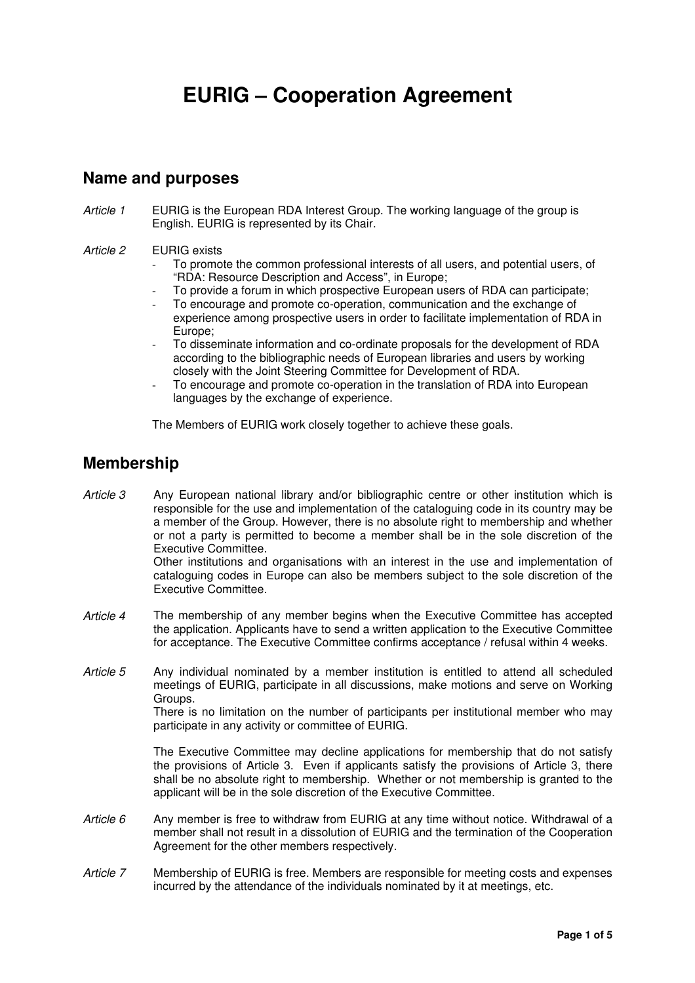# **EURIG – Cooperation Agreement**

### **Name and purposes**

Article 1 EURIG is the European RDA Interest Group. The working language of the group is English. EURIG is represented by its Chair.

#### Article 2 EURIG exists

- To promote the common professional interests of all users, and potential users, of "RDA: Resource Description and Access", in Europe;
- To provide a forum in which prospective European users of RDA can participate;
- To encourage and promote co-operation, communication and the exchange of experience among prospective users in order to facilitate implementation of RDA in Europe;
- To disseminate information and co-ordinate proposals for the development of RDA according to the bibliographic needs of European libraries and users by working closely with the Joint Steering Committee for Development of RDA.
- To encourage and promote co-operation in the translation of RDA into European languages by the exchange of experience.

The Members of EURIG work closely together to achieve these goals.

### **Membership**

Executive Committee.

- Article 3 Any European national library and/or bibliographic centre or other institution which is responsible for the use and implementation of the cataloguing code in its country may be a member of the Group. However, there is no absolute right to membership and whether or not a party is permitted to become a member shall be in the sole discretion of the Executive Committee. Other institutions and organisations with an interest in the use and implementation of cataloguing codes in Europe can also be members subject to the sole discretion of the
- Article 4 The membership of any member begins when the Executive Committee has accepted the application. Applicants have to send a written application to the Executive Committee for acceptance. The Executive Committee confirms acceptance / refusal within 4 weeks.
- Article 5 Any individual nominated by a member institution is entitled to attend all scheduled meetings of EURIG, participate in all discussions, make motions and serve on Working Groups.

There is no limitation on the number of participants per institutional member who may participate in any activity or committee of EURIG.

The Executive Committee may decline applications for membership that do not satisfy the provisions of Article 3. Even if applicants satisfy the provisions of Article 3, there shall be no absolute right to membership. Whether or not membership is granted to the applicant will be in the sole discretion of the Executive Committee.

- Article  $6$  Any member is free to withdraw from EURIG at any time without notice. Withdrawal of a member shall not result in a dissolution of EURIG and the termination of the Cooperation Agreement for the other members respectively.
- Article 7 Membership of EURIG is free. Members are responsible for meeting costs and expenses incurred by the attendance of the individuals nominated by it at meetings, etc.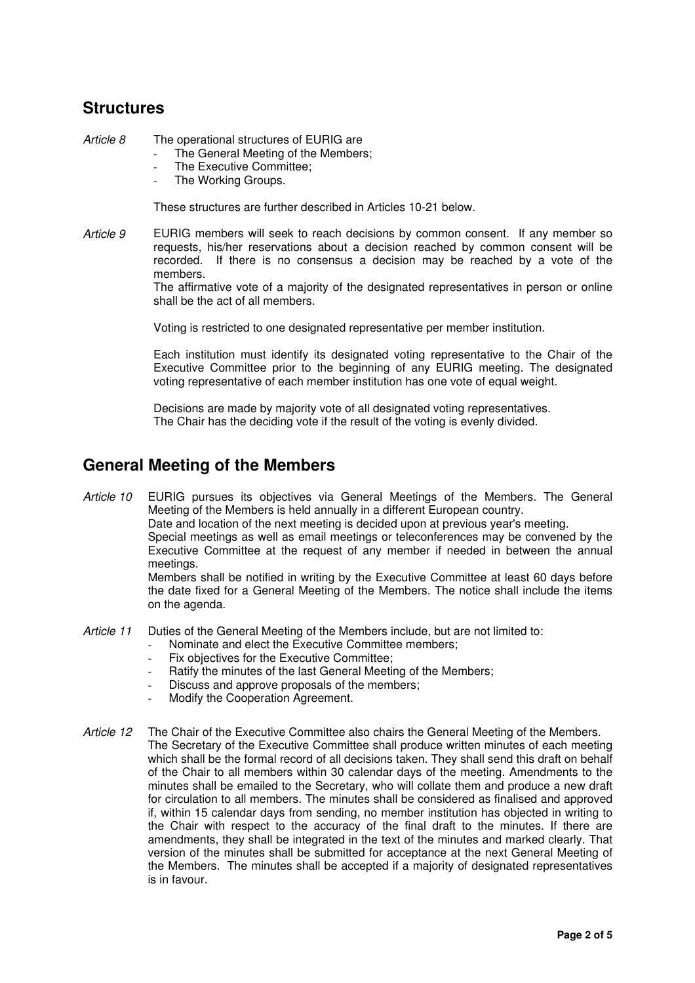# **Structures**

Article 8 The operational structures of EURIG are

- The General Meeting of the Members;
- The Executive Committee;
- The Working Groups.

These structures are further described in Articles 10-21 below.

Article 9 EURIG members will seek to reach decisions by common consent. If any member so requests, his/her reservations about a decision reached by common consent will be recorded. If there is no consensus a decision may be reached by a vote of the members.

The affirmative vote of a majority of the designated representatives in person or online shall be the act of all members.

Voting is restricted to one designated representative per member institution.

Each institution must identify its designated voting representative to the Chair of the Executive Committee prior to the beginning of any EURIG meeting. The designated voting representative of each member institution has one vote of equal weight.

Decisions are made by majority vote of all designated voting representatives. The Chair has the deciding vote if the result of the voting is evenly divided.

## **General Meeting of the Members**

Article 10 EURIG pursues its objectives via General Meetings of the Members. The General Meeting of the Members is held annually in a different European country.

Date and location of the next meeting is decided upon at previous year's meeting.

Special meetings as well as email meetings or teleconferences may be convened by the Executive Committee at the request of any member if needed in between the annual meetings.

Members shall be notified in writing by the Executive Committee at least 60 days before the date fixed for a General Meeting of the Members. The notice shall include the items on the agenda.

- Article 11 Duties of the General Meeting of the Members include, but are not limited to:
	- Nominate and elect the Executive Committee members;
	- Fix objectives for the Executive Committee;
	- Ratify the minutes of the last General Meeting of the Members;
	- Discuss and approve proposals of the members:
	- Modify the Cooperation Agreement.
- Article 12 The Chair of the Executive Committee also chairs the General Meeting of the Members. The Secretary of the Executive Committee shall produce written minutes of each meeting which shall be the formal record of all decisions taken. They shall send this draft on behalf of the Chair to all members within 30 calendar days of the meeting. Amendments to the minutes shall be emailed to the Secretary, who will collate them and produce a new draft for circulation to all members. The minutes shall be considered as finalised and approved if, within 15 calendar days from sending, no member institution has objected in writing to the Chair with respect to the accuracy of the final draft to the minutes. If there are amendments, they shall be integrated in the text of the minutes and marked clearly. That version of the minutes shall be submitted for acceptance at the next General Meeting of the Members. The minutes shall be accepted if a majority of designated representatives is in favour.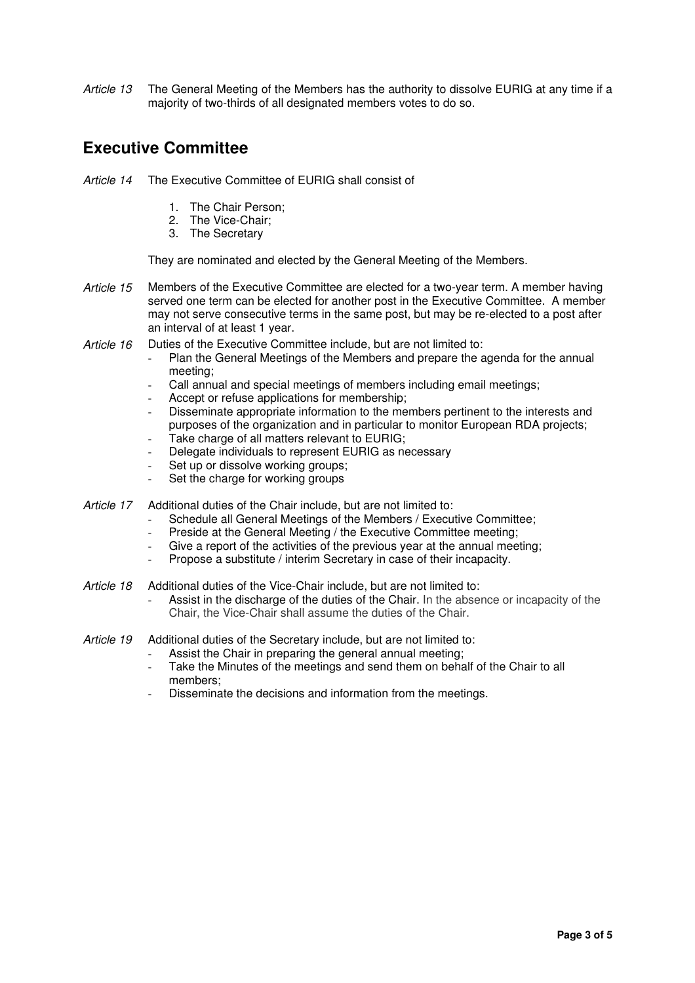Article 13 The General Meeting of the Members has the authority to dissolve EURIG at any time if a majority of two-thirds of all designated members votes to do so.

# **Executive Committee**

- Article 14 The Executive Committee of EURIG shall consist of
	- 1. The Chair Person;
	- 2. The Vice-Chair;
	- 3. The Secretary

They are nominated and elected by the General Meeting of the Members.

- Article 15 Members of the Executive Committee are elected for a two-year term. A member having served one term can be elected for another post in the Executive Committee. A member may not serve consecutive terms in the same post, but may be re-elected to a post after an interval of at least 1 year.
- Article 16 Duties of the Executive Committee include, but are not limited to:
	- Plan the General Meetings of the Members and prepare the agenda for the annual meeting;
	- Call annual and special meetings of members including email meetings;
	- Accept or refuse applications for membership;
	- Disseminate appropriate information to the members pertinent to the interests and purposes of the organization and in particular to monitor European RDA projects;
	- Take charge of all matters relevant to EURIG;
	- Delegate individuals to represent EURIG as necessary
	- Set up or dissolve working groups;
	- Set the charge for working groups
- Article 17 Additional duties of the Chair include, but are not limited to:
	- Schedule all General Meetings of the Members / Executive Committee;
	- Preside at the General Meeting / the Executive Committee meeting;
	- Give a report of the activities of the previous year at the annual meeting;
	- Propose a substitute / interim Secretary in case of their incapacity.
- Article 18 Additional duties of the Vice-Chair include, but are not limited to:
	- Assist in the discharge of the duties of the Chair. In the absence or incapacity of the Chair, the Vice-Chair shall assume the duties of the Chair.
- Article 19 Additional duties of the Secretary include, but are not limited to:
	- Assist the Chair in preparing the general annual meeting;
	- Take the Minutes of the meetings and send them on behalf of the Chair to all members;
	- Disseminate the decisions and information from the meetings.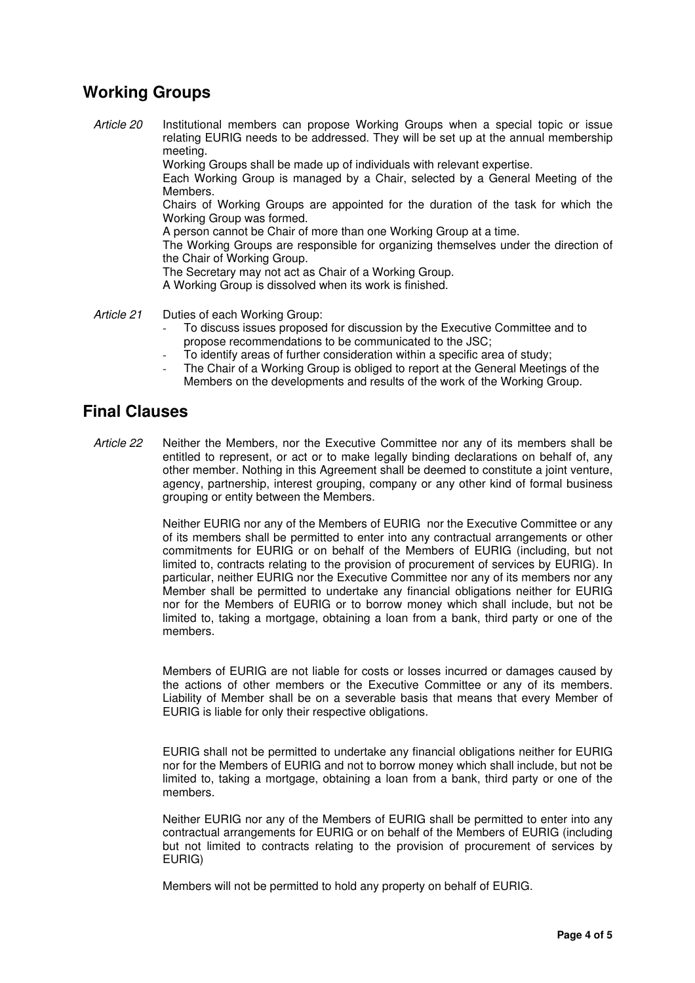# **Working Groups**

Article 20 Institutional members can propose Working Groups when a special topic or issue relating EURIG needs to be addressed. They will be set up at the annual membership meeting.

Working Groups shall be made up of individuals with relevant expertise.

Each Working Group is managed by a Chair, selected by a General Meeting of the Members.

Chairs of Working Groups are appointed for the duration of the task for which the Working Group was formed.

A person cannot be Chair of more than one Working Group at a time.

The Working Groups are responsible for organizing themselves under the direction of the Chair of Working Group.

The Secretary may not act as Chair of a Working Group.

A Working Group is dissolved when its work is finished.

Article 21 Duties of each Working Group:

- To discuss issues proposed for discussion by the Executive Committee and to propose recommendations to be communicated to the JSC;
- To identify areas of further consideration within a specific area of study;
- The Chair of a Working Group is obliged to report at the General Meetings of the Members on the developments and results of the work of the Working Group.

#### **Final Clauses**

Article 22 Neither the Members, nor the Executive Committee nor any of its members shall be entitled to represent, or act or to make legally binding declarations on behalf of, any other member. Nothing in this Agreement shall be deemed to constitute a joint venture, agency, partnership, interest grouping, company or any other kind of formal business grouping or entity between the Members.

> Neither EURIG nor any of the Members of EURIG nor the Executive Committee or any of its members shall be permitted to enter into any contractual arrangements or other commitments for EURIG or on behalf of the Members of EURIG (including, but not limited to, contracts relating to the provision of procurement of services by EURIG). In particular, neither EURIG nor the Executive Committee nor any of its members nor any Member shall be permitted to undertake any financial obligations neither for EURIG nor for the Members of EURIG or to borrow money which shall include, but not be limited to, taking a mortgage, obtaining a loan from a bank, third party or one of the members.

> Members of EURIG are not liable for costs or losses incurred or damages caused by the actions of other members or the Executive Committee or any of its members. Liability of Member shall be on a severable basis that means that every Member of EURIG is liable for only their respective obligations.

> EURIG shall not be permitted to undertake any financial obligations neither for EURIG nor for the Members of EURIG and not to borrow money which shall include, but not be limited to, taking a mortgage, obtaining a loan from a bank, third party or one of the members.

> Neither EURIG nor any of the Members of EURIG shall be permitted to enter into any contractual arrangements for EURIG or on behalf of the Members of EURIG (including but not limited to contracts relating to the provision of procurement of services by EURIG)

Members will not be permitted to hold any property on behalf of EURIG.